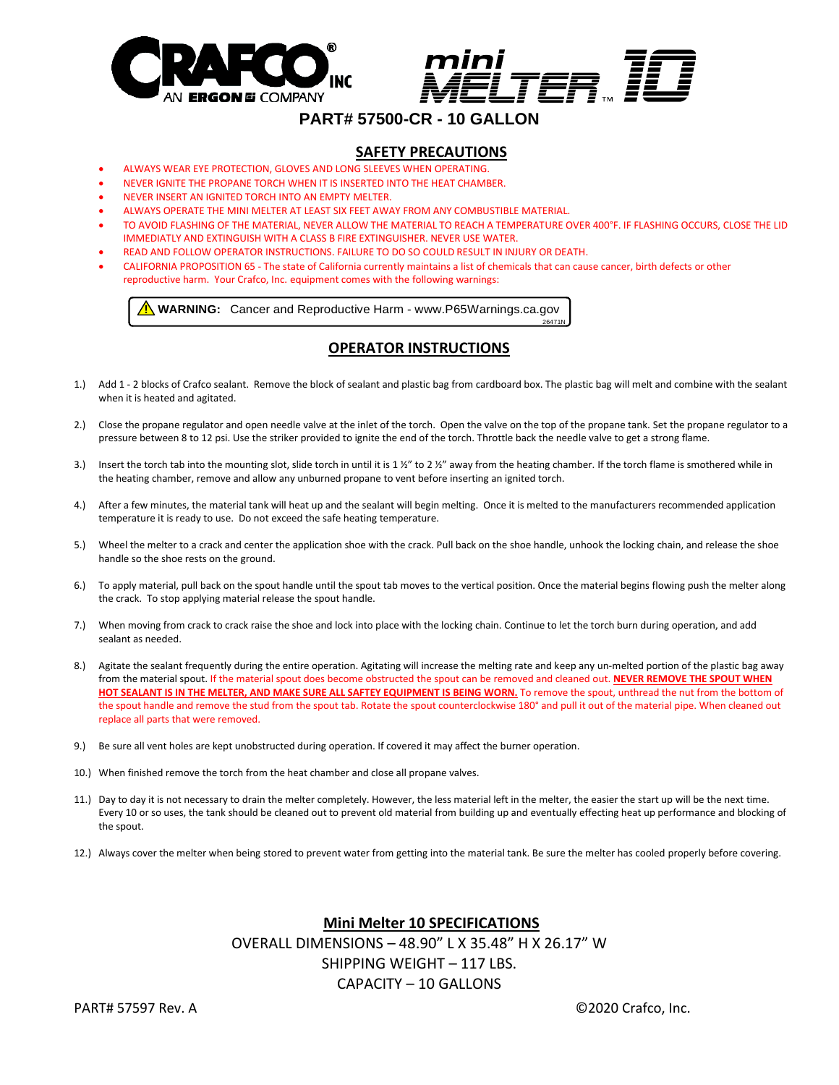



26471N

# **PART# 57500-CR - 10 GALLON**

### **SAFETY PRECAUTIONS**

- ALWAYS WEAR EYE PROTECTION, GLOVES AND LONG SLEEVES WHEN OPERATING.
- NEVER IGNITE THE PROPANE TORCH WHEN IT IS INSERTED INTO THE HEAT CHAMBER.
- NEVER INSERT AN IGNITED TORCH INTO AN EMPTY MELTER.
- ALWAYS OPERATE THE MINI MELTER AT LEAST SIX FEET AWAY FROM ANY COMBUSTIBLE MATERIAL.
- TO AVOID FLASHING OF THE MATERIAL, NEVER ALLOW THE MATERIAL TO REACH A TEMPERATURE OVER 400°F. IF FLASHING OCCURS, CLOSE THE LID IMMEDIATLY AND EXTINGUISH WITH A CLASS B FIRE EXTINGUISHER. NEVER USE WATER.
- READ AND FOLLOW OPERATOR INSTRUCTIONS. FAILURE TO DO SO COULD RESULT IN INJURY OR DEATH.
- CALIFORNIA PROPOSITION 65 The state of California currently maintains a list of chemicals that can cause cancer, birth defects or other reproductive harm. Your Crafco, Inc. equipment comes with the following warnings:

**1.** WARNING: Cancer and Reproductive Harm - www.P65Warnings.ca.gov

## **OPERATOR INSTRUCTIONS**

- 1.) Add 1 2 blocks of Crafco sealant. Remove the block of sealant and plastic bag from cardboard box. The plastic bag will melt and combine with the sealant when it is heated and agitated.
- 2.) Close the propane regulator and open needle valve at the inlet of the torch. Open the valve on the top of the propane tank. Set the propane regulator to a pressure between 8 to 12 psi. Use the striker provided to ignite the end of the torch. Throttle back the needle valve to get a strong flame.
- 3.) Insert the torch tab into the mounting slot, slide torch in until it is 1  $\frac{y''}{x}$  to 2  $\frac{y''}{x}$  away from the heating chamber. If the torch flame is smothered while in the heating chamber, remove and allow any unburned propane to vent before inserting an ignited torch.
- 4.) After a few minutes, the material tank will heat up and the sealant will begin melting. Once it is melted to the manufacturers recommended application temperature it is ready to use. Do not exceed the safe heating temperature.
- 5.) Wheel the melter to a crack and center the application shoe with the crack. Pull back on the shoe handle, unhook the locking chain, and release the shoe handle so the shoe rests on the ground.
- 6.) To apply material, pull back on the spout handle until the spout tab moves to the vertical position. Once the material begins flowing push the melter along the crack. To stop applying material release the spout handle.
- 7.) When moving from crack to crack raise the shoe and lock into place with the locking chain. Continue to let the torch burn during operation, and add sealant as needed.
- 8.) Agitate the sealant frequently during the entire operation. Agitating will increase the melting rate and keep any un-melted portion of the plastic bag away from the material spout. If the material spout does become obstructed the spout can be removed and cleaned out. **NEVER REMOVE THE SPOUT WHEN HOT SEALANT IS IN THE MELTER, AND MAKE SURE ALL SAFTEY EQUIPMENT IS BEING WORN.** To remove the spout, unthread the nut from the bottom of the spout handle and remove the stud from the spout tab. Rotate the spout counterclockwise 180° and pull it out of the material pipe. When cleaned out replace all parts that were removed.
- 9.) Be sure all vent holes are kept unobstructed during operation. If covered it may affect the burner operation.
- 10.) When finished remove the torch from the heat chamber and close all propane valves.
- 11.) Day to day it is not necessary to drain the melter completely. However, the less material left in the melter, the easier the start up will be the next time. Every 10 or so uses, the tank should be cleaned out to prevent old material from building up and eventually effecting heat up performance and blocking of the spout.
- 12.) Always cover the melter when being stored to prevent water from getting into the material tank. Be sure the melter has cooled properly before covering.

**Mini Melter 10 SPECIFICATIONS** OVERALL DIMENSIONS – 48.90" L X 35.48" H X 26.17" W

SHIPPING WEIGHT – 117 LBS.

# CAPACITY – 10 GALLONS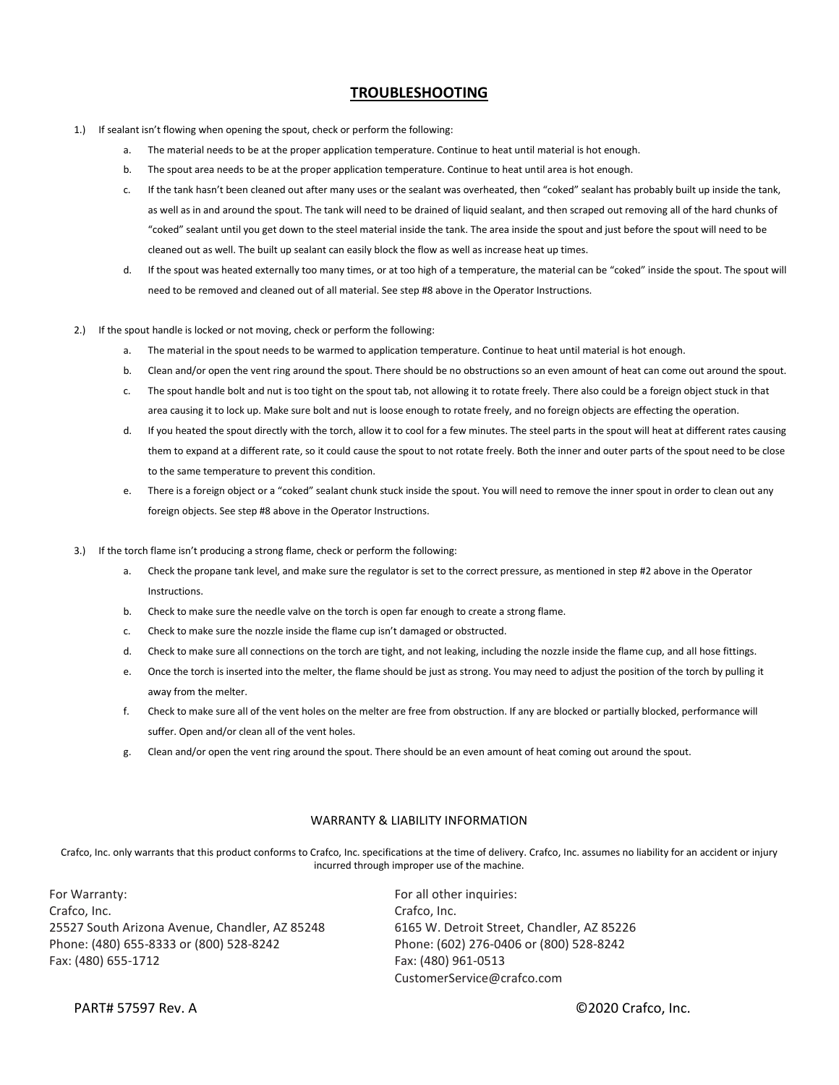#### **TROUBLESHOOTING**

- 1.) If sealant isn't flowing when opening the spout, check or perform the following:
	- a. The material needs to be at the proper application temperature. Continue to heat until material is hot enough.
	- b. The spout area needs to be at the proper application temperature. Continue to heat until area is hot enough.
	- c. If the tank hasn't been cleaned out after many uses or the sealant was overheated, then "coked" sealant has probably built up inside the tank, as well as in and around the spout. The tank will need to be drained of liquid sealant, and then scraped out removing all of the hard chunks of "coked" sealant until you get down to the steel material inside the tank. The area inside the spout and just before the spout will need to be cleaned out as well. The built up sealant can easily block the flow as well as increase heat up times.
	- d. If the spout was heated externally too many times, or at too high of a temperature, the material can be "coked" inside the spout. The spout will need to be removed and cleaned out of all material. See step #8 above in the Operator Instructions.
- 2.) If the spout handle is locked or not moving, check or perform the following:
	- a. The material in the spout needs to be warmed to application temperature. Continue to heat until material is hot enough.
	- b. Clean and/or open the vent ring around the spout. There should be no obstructions so an even amount of heat can come out around the spout.
	- c. The spout handle bolt and nut is too tight on the spout tab, not allowing it to rotate freely. There also could be a foreign object stuck in that area causing it to lock up. Make sure bolt and nut is loose enough to rotate freely, and no foreign objects are effecting the operation.
	- d. If you heated the spout directly with the torch, allow it to cool for a few minutes. The steel parts in the spout will heat at different rates causing them to expand at a different rate, so it could cause the spout to not rotate freely. Both the inner and outer parts of the spout need to be close to the same temperature to prevent this condition.
	- e. There is a foreign object or a "coked" sealant chunk stuck inside the spout. You will need to remove the inner spout in order to clean out any foreign objects. See step #8 above in the Operator Instructions.
- 3.) If the torch flame isn't producing a strong flame, check or perform the following:
	- a. Check the propane tank level, and make sure the regulator is set to the correct pressure, as mentioned in step #2 above in the Operator Instructions.
	- b. Check to make sure the needle valve on the torch is open far enough to create a strong flame.
	- c. Check to make sure the nozzle inside the flame cup isn't damaged or obstructed.
	- d. Check to make sure all connections on the torch are tight, and not leaking, including the nozzle inside the flame cup, and all hose fittings.
	- e. Once the torch is inserted into the melter, the flame should be just as strong. You may need to adjust the position of the torch by pulling it away from the melter.
	- f. Check to make sure all of the vent holes on the melter are free from obstruction. If any are blocked or partially blocked, performance will suffer. Open and/or clean all of the vent holes.
	- g. Clean and/or open the vent ring around the spout. There should be an even amount of heat coming out around the spout.

#### WARRANTY & LIABILITY INFORMATION

Crafco, Inc. only warrants that this product conforms to Crafco, Inc. specifications at the time of delivery. Crafco, Inc. assumes no liability for an accident or injury incurred through improper use of the machine.

For Warranty: **For Warranty: For all other inquiries:** Crafco, Inc. Crafco, Inc. 25527 South Arizona Avenue, Chandler, AZ 85248 6165 W. Detroit Street, Chandler, AZ 85226 Phone: (480) 655-8333 or (800) 528-8242 Phone: (602) 276-0406 or (800) 528-8242 Fax: (480) 655-1712 Fax: (480) 961-0513

CustomerService@crafco.com

PART# 57597 Rev. A  $\Box$  PART# 57597 Rev. A